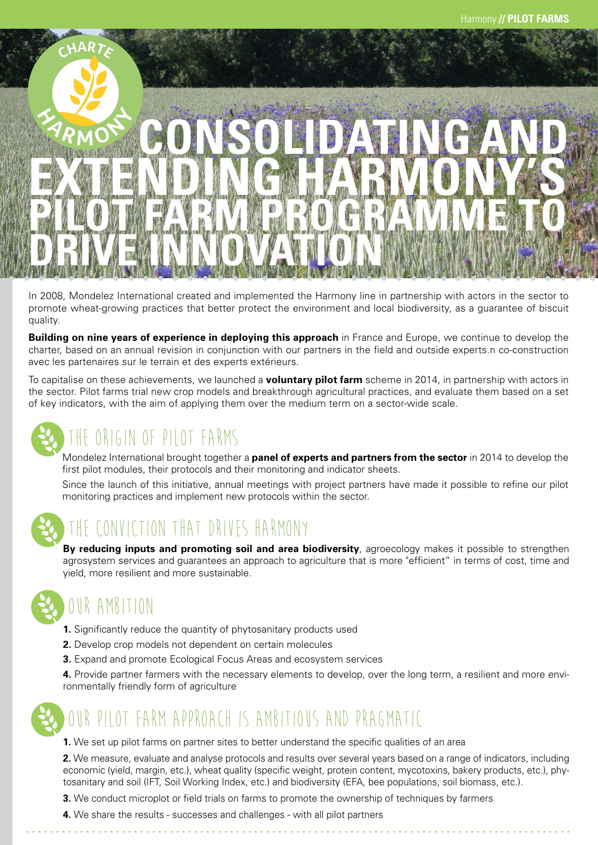

In 2008, Mondelez International created and implemented the Harmony line in partnership with actors in the sector to promote wheat-growing practices that better protect the environment and local biodiversity, as a guarantee of biscuit quality.

**Building on nine years of experience in deploying this approach** in France and Europe, we continue to develop the charter, based on an annual revision in conjunction with our partners in the field and outside experts.n co-construction avec les partenaires sur le terrain et des experts extérieurs.

To capitalise on these achievements, we launched a **voluntary pilot farm** scheme in 2014, in partnership with actors in the sector. Pilot farms trial new crop models and breakthrough agricultural practices, and evaluate them based on a set of key indicators, with the aim of applying them over the medium term on a sector-wide scale.



# THE ORIGIN OF PILOT FARMS

Mondelez International brought together a **panel of experts and partners from the sector** in 2014 to develop the first pilot modules, their protocols and their monitoring and indicator sheets.

Since the launch of this initiative, annual meetings with project partners have made it possible to refine our pilot monitoring practices and implement new protocols within the sector.



### CTION THAT DRIVES HARMONY

**By reducing inputs and promoting soil and area biodiversity**, agroecology makes it possible to strengthen agrosystem services and guarantees an approach to agriculture that is more "efficient" in terms of cost, time and yield, more resilient and more sustainable.



### OUR AMBITION

- **1.** Significantly reduce the quantity of phytosanitary products used
- **2.** Develop crop models not dependent on certain molecules
- **3.** Expand and promote Ecological Focus Areas and ecosystem services

**4.** Provide partner farmers with the necessary elements to develop, over the long term, a resilient and more environmentally friendly form of agriculture



### FARM APPROACH IS AMBITIOUS AND PRAGMATIC

**1.** We set up pilot farms on partner sites to better understand the specific qualities of an area

**2.** We measure, evaluate and analyse protocols and results over several years based on a range of indicators, including economic (yield, margin, etc.), wheat quality (specific weight, protein content, mycotoxins, bakery products, etc.), phytosanitary and soil (IFT, Soil Working Index, etc.) and biodiversity (EFA, bee populations, soil biomass, etc.).

- **3.** We conduct microplot or field trials on farms to promote the ownership of techniques by farmers
- **4.** We share the results successes and challenges with all pilot partners